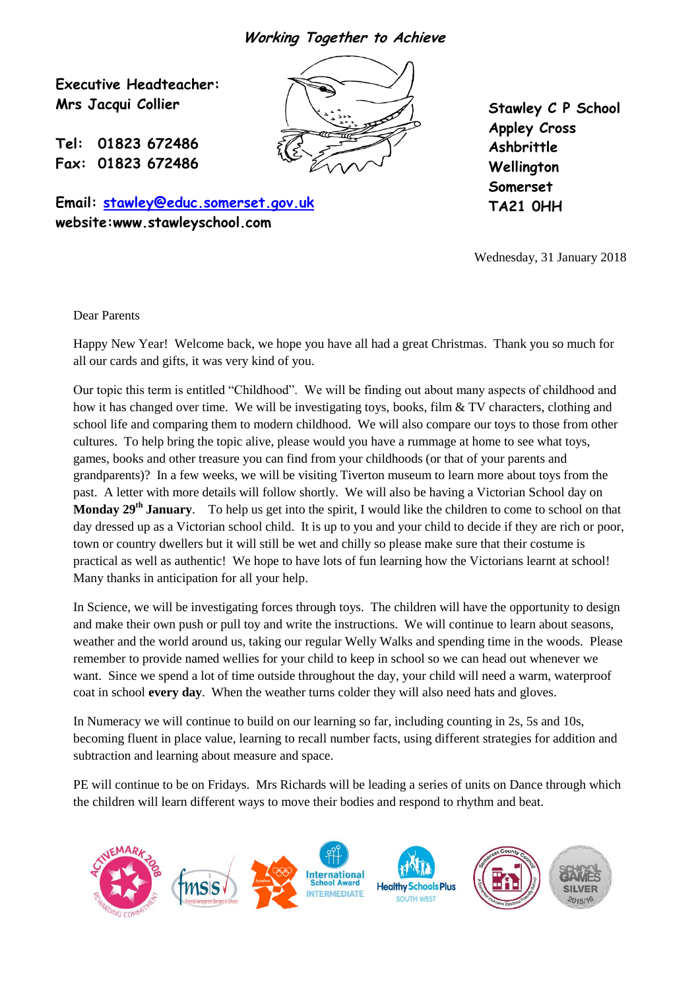**Working Together to Achieve**

Q N **Executive Headteacher: Mrs Jacqui Collier**

**Tel: 01823 672486 Fax: 01823 672486**

**Email: [stawley@educ.somerset.gov.uk](mailto:stawley@educ.somerset.gov.uk) website:www.stawleyschool.com**

**Stawley C P School Appley Cross Ashbrittle Wellington Somerset TA21 0HH**

Wednesday, 31 January 2018

Dear Parents

Happy New Year! Welcome back, we hope you have all had a great Christmas. Thank you so much for all our cards and gifts, it was very kind of you.

Our topic this term is entitled "Childhood". We will be finding out about many aspects of childhood and how it has changed over time. We will be investigating toys, books, film & TV characters, clothing and school life and comparing them to modern childhood. We will also compare our toys to those from other cultures. To help bring the topic alive, please would you have a rummage at home to see what toys, games, books and other treasure you can find from your childhoods (or that of your parents and grandparents)? In a few weeks, we will be visiting Tiverton museum to learn more about toys from the past. A letter with more details will follow shortly. We will also be having a Victorian School day on **Monday 29th January**. To help us get into the spirit, I would like the children to come to school on that day dressed up as a Victorian school child. It is up to you and your child to decide if they are rich or poor, town or country dwellers but it will still be wet and chilly so please make sure that their costume is practical as well as authentic! We hope to have lots of fun learning how the Victorians learnt at school! Many thanks in anticipation for all your help.

In Science, we will be investigating forces through toys. The children will have the opportunity to design and make their own push or pull toy and write the instructions. We will continue to learn about seasons, weather and the world around us, taking our regular Welly Walks and spending time in the woods. Please remember to provide named wellies for your child to keep in school so we can head out whenever we want. Since we spend a lot of time outside throughout the day, your child will need a warm, waterproof coat in school **every day**. When the weather turns colder they will also need hats and gloves.

In Numeracy we will continue to build on our learning so far, including counting in 2s, 5s and 10s, becoming fluent in place value, learning to recall number facts, using different strategies for addition and subtraction and learning about measure and space.

PE will continue to be on Fridays. Mrs Richards will be leading a series of units on Dance through which the children will learn different ways to move their bodies and respond to rhythm and beat.